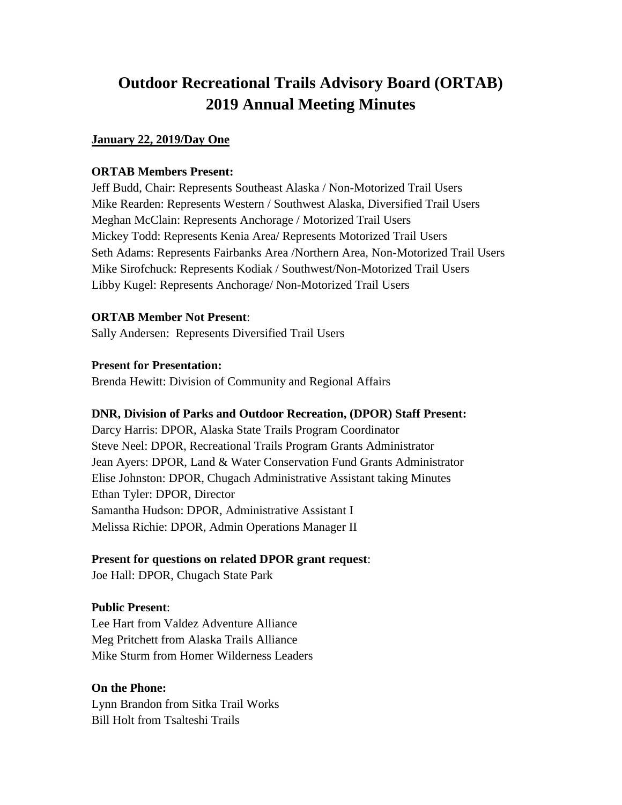# **Outdoor Recreational Trails Advisory Board (ORTAB) 2019 Annual Meeting Minutes**

## **January 22, 2019/Day One**

## **ORTAB Members Present:**

Jeff Budd, Chair: Represents Southeast Alaska / Non-Motorized Trail Users Mike Rearden: Represents Western / Southwest Alaska, Diversified Trail Users Meghan McClain: Represents Anchorage / Motorized Trail Users Mickey Todd: Represents Kenia Area/ Represents Motorized Trail Users Seth Adams: Represents Fairbanks Area /Northern Area, Non-Motorized Trail Users Mike Sirofchuck: Represents Kodiak / Southwest/Non-Motorized Trail Users Libby Kugel: Represents Anchorage/ Non-Motorized Trail Users

## **ORTAB Member Not Present**:

Sally Andersen: Represents Diversified Trail Users

## **Present for Presentation:**

Brenda Hewitt: Division of Community and Regional Affairs

## **DNR, Division of Parks and Outdoor Recreation, (DPOR) Staff Present:**

Darcy Harris: DPOR, Alaska State Trails Program Coordinator Steve Neel: DPOR, Recreational Trails Program Grants Administrator Jean Ayers: DPOR, Land & Water Conservation Fund Grants Administrator Elise Johnston: DPOR, Chugach Administrative Assistant taking Minutes Ethan Tyler: DPOR, Director Samantha Hudson: DPOR, Administrative Assistant I Melissa Richie: DPOR, Admin Operations Manager II

## **Present for questions on related DPOR grant request**:

Joe Hall: DPOR, Chugach State Park

## **Public Present**:

Lee Hart from Valdez Adventure Alliance Meg Pritchett from Alaska Trails Alliance Mike Sturm from Homer Wilderness Leaders

## **On the Phone:**

Lynn Brandon from Sitka Trail Works Bill Holt from Tsalteshi Trails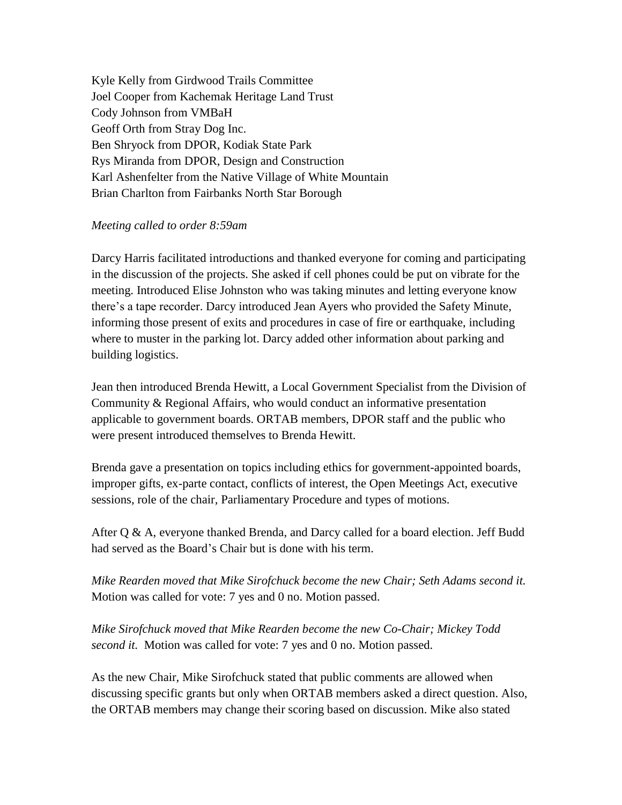Kyle Kelly from Girdwood Trails Committee Joel Cooper from Kachemak Heritage Land Trust Cody Johnson from VMBaH Geoff Orth from Stray Dog Inc. Ben Shryock from DPOR, Kodiak State Park Rys Miranda from DPOR, Design and Construction Karl Ashenfelter from the Native Village of White Mountain Brian Charlton from Fairbanks North Star Borough

## *Meeting called to order 8:59am*

Darcy Harris facilitated introductions and thanked everyone for coming and participating in the discussion of the projects. She asked if cell phones could be put on vibrate for the meeting. Introduced Elise Johnston who was taking minutes and letting everyone know there's a tape recorder. Darcy introduced Jean Ayers who provided the Safety Minute, informing those present of exits and procedures in case of fire or earthquake, including where to muster in the parking lot. Darcy added other information about parking and building logistics.

Jean then introduced Brenda Hewitt, a Local Government Specialist from the Division of Community & Regional Affairs, who would conduct an informative presentation applicable to government boards. ORTAB members, DPOR staff and the public who were present introduced themselves to Brenda Hewitt.

Brenda gave a presentation on topics including ethics for government-appointed boards, improper gifts, ex-parte contact, conflicts of interest, the Open Meetings Act, executive sessions, role of the chair, Parliamentary Procedure and types of motions.

After Q & A, everyone thanked Brenda, and Darcy called for a board election. Jeff Budd had served as the Board's Chair but is done with his term.

*Mike Rearden moved that Mike Sirofchuck become the new Chair; Seth Adams second it.* Motion was called for vote: 7 yes and 0 no. Motion passed.

*Mike Sirofchuck moved that Mike Rearden become the new Co-Chair; Mickey Todd second it.* Motion was called for vote: 7 yes and 0 no. Motion passed.

As the new Chair, Mike Sirofchuck stated that public comments are allowed when discussing specific grants but only when ORTAB members asked a direct question. Also, the ORTAB members may change their scoring based on discussion. Mike also stated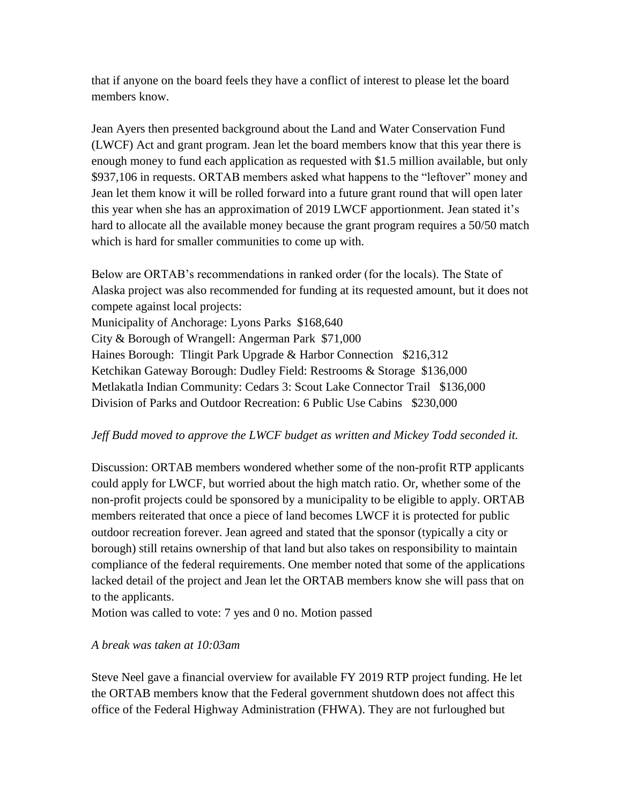that if anyone on the board feels they have a conflict of interest to please let the board members know.

Jean Ayers then presented background about the Land and Water Conservation Fund (LWCF) Act and grant program. Jean let the board members know that this year there is enough money to fund each application as requested with \$1.5 million available, but only \$937,106 in requests. ORTAB members asked what happens to the "leftover" money and Jean let them know it will be rolled forward into a future grant round that will open later this year when she has an approximation of 2019 LWCF apportionment. Jean stated it's hard to allocate all the available money because the grant program requires a 50/50 match which is hard for smaller communities to come up with.

Below are ORTAB's recommendations in ranked order (for the locals). The State of Alaska project was also recommended for funding at its requested amount, but it does not compete against local projects: Municipality of Anchorage: Lyons Parks \$168,640 City & Borough of Wrangell: Angerman Park \$71,000 Haines Borough: Tlingit Park Upgrade & Harbor Connection \$216,312 Ketchikan Gateway Borough: Dudley Field: Restrooms & Storage \$136,000 Metlakatla Indian Community: Cedars 3: Scout Lake Connector Trail \$136,000 Division of Parks and Outdoor Recreation: 6 Public Use Cabins \$230,000

## *Jeff Budd moved to approve the LWCF budget as written and Mickey Todd seconded it.*

Discussion: ORTAB members wondered whether some of the non-profit RTP applicants could apply for LWCF, but worried about the high match ratio. Or, whether some of the non-profit projects could be sponsored by a municipality to be eligible to apply. ORTAB members reiterated that once a piece of land becomes LWCF it is protected for public outdoor recreation forever. Jean agreed and stated that the sponsor (typically a city or borough) still retains ownership of that land but also takes on responsibility to maintain compliance of the federal requirements. One member noted that some of the applications lacked detail of the project and Jean let the ORTAB members know she will pass that on to the applicants.

Motion was called to vote: 7 yes and 0 no. Motion passed

## *A break was taken at 10:03am*

Steve Neel gave a financial overview for available FY 2019 RTP project funding. He let the ORTAB members know that the Federal government shutdown does not affect this office of the Federal Highway Administration (FHWA). They are not furloughed but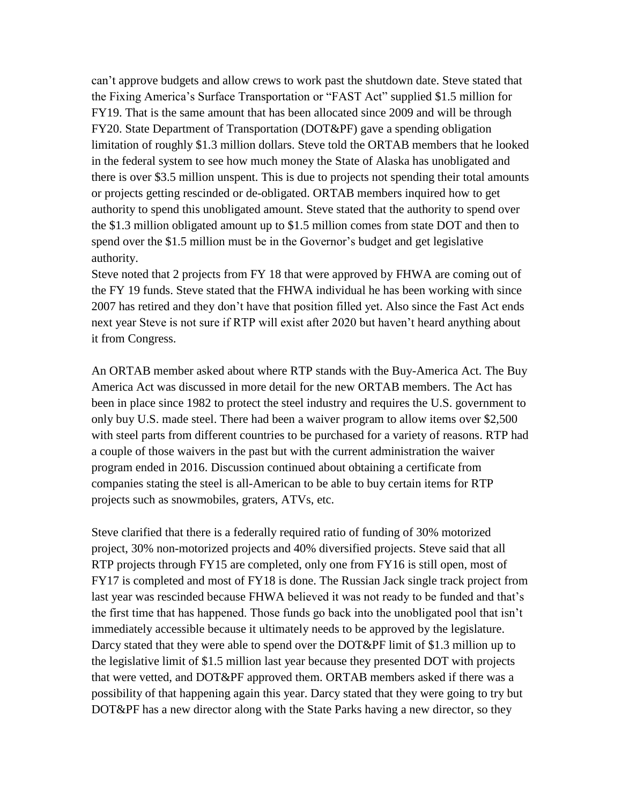can't approve budgets and allow crews to work past the shutdown date. Steve stated that the Fixing America's Surface Transportation or "FAST Act" supplied \$1.5 million for FY19. That is the same amount that has been allocated since 2009 and will be through FY20. State Department of Transportation (DOT&PF) gave a spending obligation limitation of roughly \$1.3 million dollars. Steve told the ORTAB members that he looked in the federal system to see how much money the State of Alaska has unobligated and there is over \$3.5 million unspent. This is due to projects not spending their total amounts or projects getting rescinded or de-obligated. ORTAB members inquired how to get authority to spend this unobligated amount. Steve stated that the authority to spend over the \$1.3 million obligated amount up to \$1.5 million comes from state DOT and then to spend over the \$1.5 million must be in the Governor's budget and get legislative authority.

Steve noted that 2 projects from FY 18 that were approved by FHWA are coming out of the FY 19 funds. Steve stated that the FHWA individual he has been working with since 2007 has retired and they don't have that position filled yet. Also since the Fast Act ends next year Steve is not sure if RTP will exist after 2020 but haven't heard anything about it from Congress.

An ORTAB member asked about where RTP stands with the Buy-America Act. The Buy America Act was discussed in more detail for the new ORTAB members. The Act has been in place since 1982 to protect the steel industry and requires the U.S. government to only buy U.S. made steel. There had been a waiver program to allow items over \$2,500 with steel parts from different countries to be purchased for a variety of reasons. RTP had a couple of those waivers in the past but with the current administration the waiver program ended in 2016. Discussion continued about obtaining a certificate from companies stating the steel is all-American to be able to buy certain items for RTP projects such as snowmobiles, graters, ATVs, etc.

Steve clarified that there is a federally required ratio of funding of 30% motorized project, 30% non-motorized projects and 40% diversified projects. Steve said that all RTP projects through FY15 are completed, only one from FY16 is still open, most of FY17 is completed and most of FY18 is done. The Russian Jack single track project from last year was rescinded because FHWA believed it was not ready to be funded and that's the first time that has happened. Those funds go back into the unobligated pool that isn't immediately accessible because it ultimately needs to be approved by the legislature. Darcy stated that they were able to spend over the DOT&PF limit of \$1.3 million up to the legislative limit of \$1.5 million last year because they presented DOT with projects that were vetted, and DOT&PF approved them. ORTAB members asked if there was a possibility of that happening again this year. Darcy stated that they were going to try but DOT&PF has a new director along with the State Parks having a new director, so they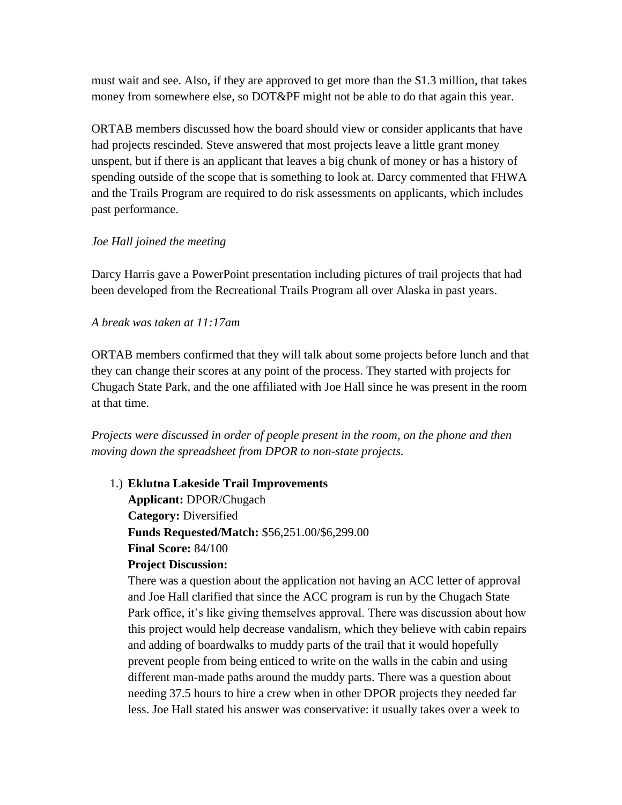must wait and see. Also, if they are approved to get more than the \$1.3 million, that takes money from somewhere else, so DOT&PF might not be able to do that again this year.

ORTAB members discussed how the board should view or consider applicants that have had projects rescinded. Steve answered that most projects leave a little grant money unspent, but if there is an applicant that leaves a big chunk of money or has a history of spending outside of the scope that is something to look at. Darcy commented that FHWA and the Trails Program are required to do risk assessments on applicants, which includes past performance.

## *Joe Hall joined the meeting*

Darcy Harris gave a PowerPoint presentation including pictures of trail projects that had been developed from the Recreational Trails Program all over Alaska in past years.

## *A break was taken at 11:17am*

ORTAB members confirmed that they will talk about some projects before lunch and that they can change their scores at any point of the process. They started with projects for Chugach State Park, and the one affiliated with Joe Hall since he was present in the room at that time.

*Projects were discussed in order of people present in the room, on the phone and then moving down the spreadsheet from DPOR to non-state projects.*

1.) **Eklutna Lakeside Trail Improvements Applicant:** DPOR/Chugach **Category:** Diversified **Funds Requested/Match:** \$56,251.00/\$6,299.00 **Final Score:** 84/100

# **Project Discussion:**

There was a question about the application not having an ACC letter of approval and Joe Hall clarified that since the ACC program is run by the Chugach State Park office, it's like giving themselves approval. There was discussion about how this project would help decrease vandalism, which they believe with cabin repairs and adding of boardwalks to muddy parts of the trail that it would hopefully prevent people from being enticed to write on the walls in the cabin and using different man-made paths around the muddy parts. There was a question about needing 37.5 hours to hire a crew when in other DPOR projects they needed far less. Joe Hall stated his answer was conservative: it usually takes over a week to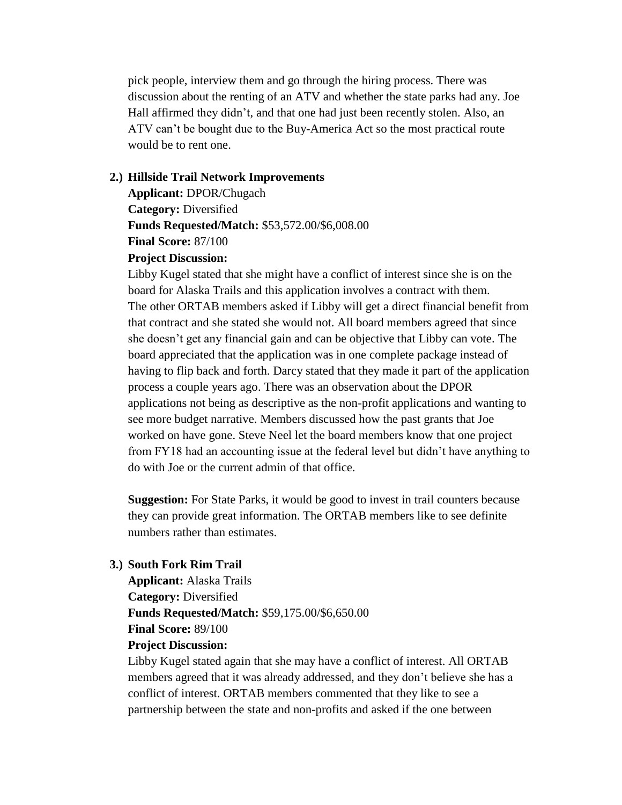pick people, interview them and go through the hiring process. There was discussion about the renting of an ATV and whether the state parks had any. Joe Hall affirmed they didn't, and that one had just been recently stolen. Also, an ATV can't be bought due to the Buy-America Act so the most practical route would be to rent one.

#### **2.) Hillside Trail Network Improvements**

**Applicant:** DPOR/Chugach **Category:** Diversified **Funds Requested/Match:** \$53,572.00/\$6,008.00 **Final Score:** 87/100

## **Project Discussion:**

Libby Kugel stated that she might have a conflict of interest since she is on the board for Alaska Trails and this application involves a contract with them. The other ORTAB members asked if Libby will get a direct financial benefit from that contract and she stated she would not. All board members agreed that since she doesn't get any financial gain and can be objective that Libby can vote. The board appreciated that the application was in one complete package instead of having to flip back and forth. Darcy stated that they made it part of the application process a couple years ago. There was an observation about the DPOR applications not being as descriptive as the non-profit applications and wanting to see more budget narrative. Members discussed how the past grants that Joe worked on have gone. Steve Neel let the board members know that one project from FY18 had an accounting issue at the federal level but didn't have anything to do with Joe or the current admin of that office.

**Suggestion:** For State Parks, it would be good to invest in trail counters because they can provide great information. The ORTAB members like to see definite numbers rather than estimates.

## **3.) South Fork Rim Trail**

**Applicant:** Alaska Trails **Category:** Diversified **Funds Requested/Match:** \$59,175.00/\$6,650.00 **Final Score:** 89/100 **Project Discussion:**

Libby Kugel stated again that she may have a conflict of interest. All ORTAB members agreed that it was already addressed, and they don't believe she has a conflict of interest. ORTAB members commented that they like to see a partnership between the state and non-profits and asked if the one between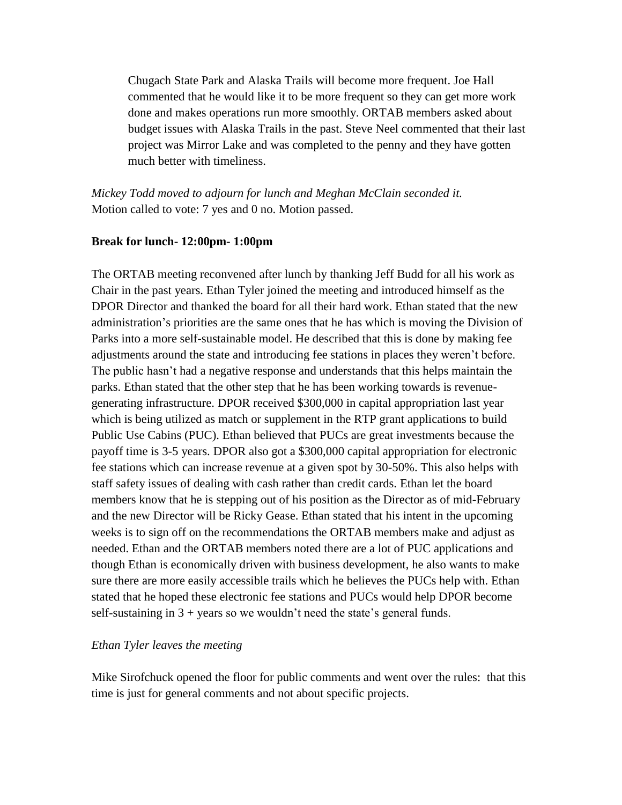Chugach State Park and Alaska Trails will become more frequent. Joe Hall commented that he would like it to be more frequent so they can get more work done and makes operations run more smoothly. ORTAB members asked about budget issues with Alaska Trails in the past. Steve Neel commented that their last project was Mirror Lake and was completed to the penny and they have gotten much better with timeliness.

*Mickey Todd moved to adjourn for lunch and Meghan McClain seconded it.*  Motion called to vote: 7 yes and 0 no. Motion passed.

## **Break for lunch- 12:00pm- 1:00pm**

The ORTAB meeting reconvened after lunch by thanking Jeff Budd for all his work as Chair in the past years. Ethan Tyler joined the meeting and introduced himself as the DPOR Director and thanked the board for all their hard work. Ethan stated that the new administration's priorities are the same ones that he has which is moving the Division of Parks into a more self-sustainable model. He described that this is done by making fee adjustments around the state and introducing fee stations in places they weren't before. The public hasn't had a negative response and understands that this helps maintain the parks. Ethan stated that the other step that he has been working towards is revenuegenerating infrastructure. DPOR received \$300,000 in capital appropriation last year which is being utilized as match or supplement in the RTP grant applications to build Public Use Cabins (PUC). Ethan believed that PUCs are great investments because the payoff time is 3-5 years. DPOR also got a \$300,000 capital appropriation for electronic fee stations which can increase revenue at a given spot by 30-50%. This also helps with staff safety issues of dealing with cash rather than credit cards. Ethan let the board members know that he is stepping out of his position as the Director as of mid-February and the new Director will be Ricky Gease. Ethan stated that his intent in the upcoming weeks is to sign off on the recommendations the ORTAB members make and adjust as needed. Ethan and the ORTAB members noted there are a lot of PUC applications and though Ethan is economically driven with business development, he also wants to make sure there are more easily accessible trails which he believes the PUCs help with. Ethan stated that he hoped these electronic fee stations and PUCs would help DPOR become self-sustaining in  $3 + \text{years}$  so we wouldn't need the state's general funds.

## *Ethan Tyler leaves the meeting*

Mike Sirofchuck opened the floor for public comments and went over the rules: that this time is just for general comments and not about specific projects.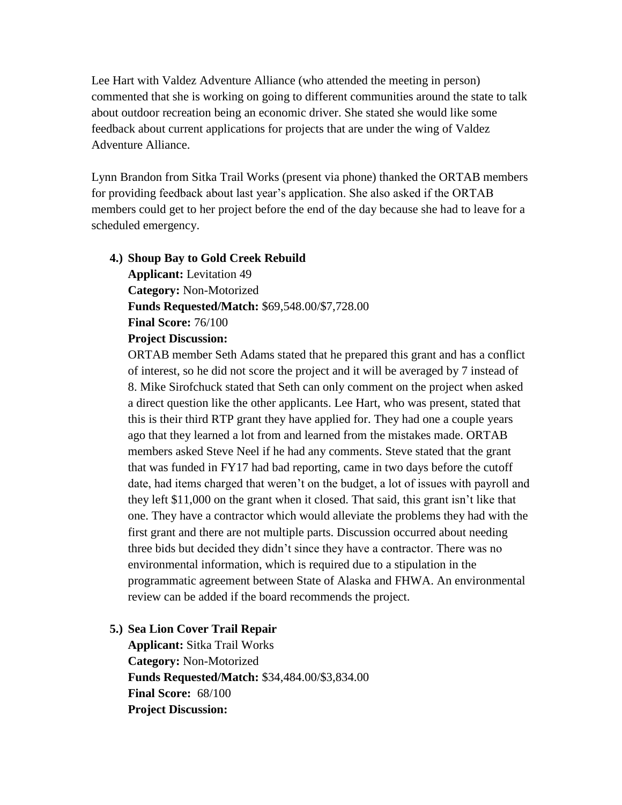Lee Hart with Valdez Adventure Alliance (who attended the meeting in person) commented that she is working on going to different communities around the state to talk about outdoor recreation being an economic driver. She stated she would like some feedback about current applications for projects that are under the wing of Valdez Adventure Alliance.

Lynn Brandon from Sitka Trail Works (present via phone) thanked the ORTAB members for providing feedback about last year's application. She also asked if the ORTAB members could get to her project before the end of the day because she had to leave for a scheduled emergency.

#### **4.) Shoup Bay to Gold Creek Rebuild**

**Applicant:** Levitation 49 **Category:** Non-Motorized **Funds Requested/Match:** \$69,548.00/\$7,728.00 **Final Score:** 76/100 **Project Discussion:**

ORTAB member Seth Adams stated that he prepared this grant and has a conflict of interest, so he did not score the project and it will be averaged by 7 instead of 8. Mike Sirofchuck stated that Seth can only comment on the project when asked a direct question like the other applicants. Lee Hart, who was present, stated that this is their third RTP grant they have applied for. They had one a couple years ago that they learned a lot from and learned from the mistakes made. ORTAB members asked Steve Neel if he had any comments. Steve stated that the grant that was funded in FY17 had bad reporting, came in two days before the cutoff date, had items charged that weren't on the budget, a lot of issues with payroll and they left \$11,000 on the grant when it closed. That said, this grant isn't like that one. They have a contractor which would alleviate the problems they had with the first grant and there are not multiple parts. Discussion occurred about needing three bids but decided they didn't since they have a contractor. There was no environmental information, which is required due to a stipulation in the programmatic agreement between State of Alaska and FHWA. An environmental review can be added if the board recommends the project.

## **5.) Sea Lion Cover Trail Repair**

**Applicant:** Sitka Trail Works **Category:** Non-Motorized **Funds Requested/Match:** \$34,484.00/\$3,834.00 **Final Score:** 68/100 **Project Discussion:**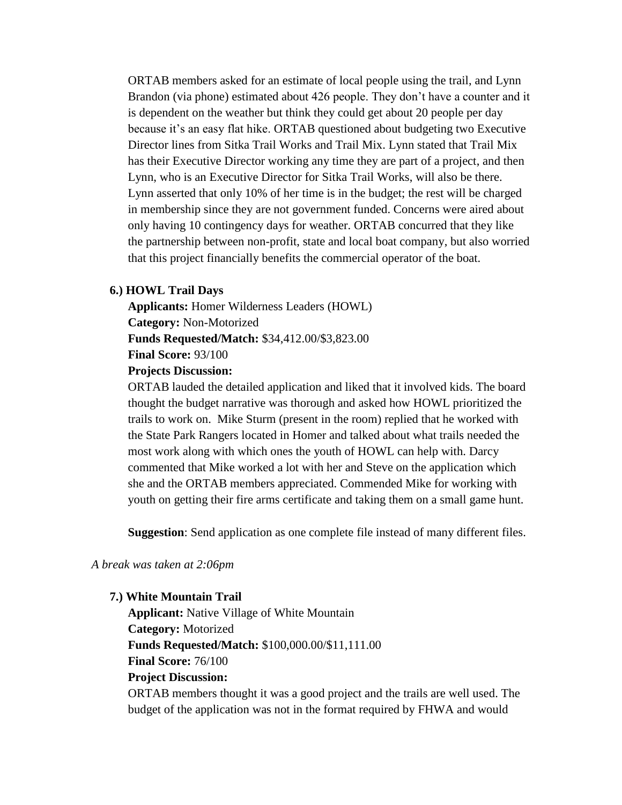ORTAB members asked for an estimate of local people using the trail, and Lynn Brandon (via phone) estimated about 426 people. They don't have a counter and it is dependent on the weather but think they could get about 20 people per day because it's an easy flat hike. ORTAB questioned about budgeting two Executive Director lines from Sitka Trail Works and Trail Mix. Lynn stated that Trail Mix has their Executive Director working any time they are part of a project, and then Lynn, who is an Executive Director for Sitka Trail Works, will also be there. Lynn asserted that only 10% of her time is in the budget; the rest will be charged in membership since they are not government funded. Concerns were aired about only having 10 contingency days for weather. ORTAB concurred that they like the partnership between non-profit, state and local boat company, but also worried that this project financially benefits the commercial operator of the boat.

## **6.) HOWL Trail Days**

**Applicants:** Homer Wilderness Leaders (HOWL) **Category:** Non-Motorized **Funds Requested/Match:** \$34,412.00/\$3,823.00 **Final Score:** 93/100

#### **Projects Discussion:**

ORTAB lauded the detailed application and liked that it involved kids. The board thought the budget narrative was thorough and asked how HOWL prioritized the trails to work on. Mike Sturm (present in the room) replied that he worked with the State Park Rangers located in Homer and talked about what trails needed the most work along with which ones the youth of HOWL can help with. Darcy commented that Mike worked a lot with her and Steve on the application which she and the ORTAB members appreciated. Commended Mike for working with youth on getting their fire arms certificate and taking them on a small game hunt.

**Suggestion**: Send application as one complete file instead of many different files.

#### *A break was taken at 2:06pm*

#### **7.) White Mountain Trail**

**Applicant:** Native Village of White Mountain **Category:** Motorized **Funds Requested/Match:** \$100,000.00/\$11,111.00 **Final Score:** 76/100 **Project Discussion:** ORTAB members thought it was a good project and the trails are well used. The

budget of the application was not in the format required by FHWA and would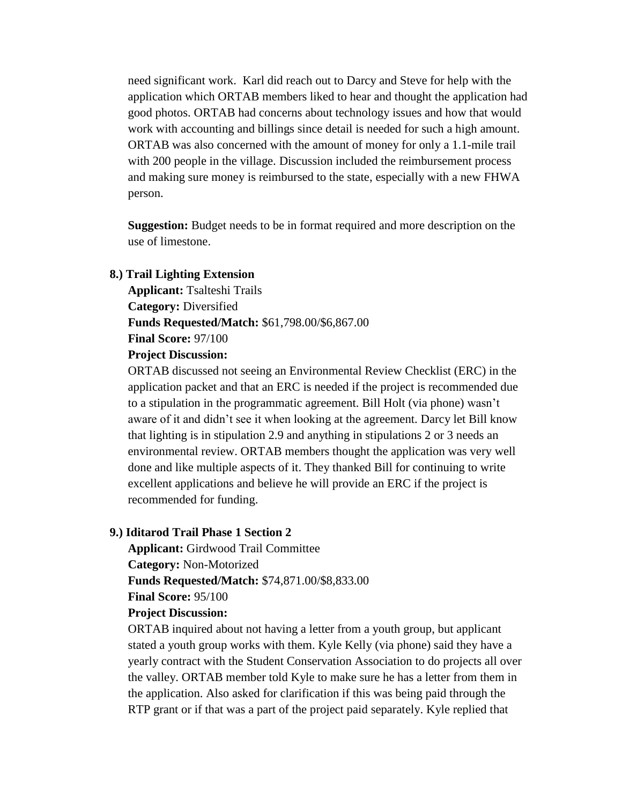need significant work. Karl did reach out to Darcy and Steve for help with the application which ORTAB members liked to hear and thought the application had good photos. ORTAB had concerns about technology issues and how that would work with accounting and billings since detail is needed for such a high amount. ORTAB was also concerned with the amount of money for only a 1.1-mile trail with 200 people in the village. Discussion included the reimbursement process and making sure money is reimbursed to the state, especially with a new FHWA person.

**Suggestion:** Budget needs to be in format required and more description on the use of limestone.

#### **8.) Trail Lighting Extension**

**Applicant:** Tsalteshi Trails **Category:** Diversified **Funds Requested/Match:** \$61,798.00/\$6,867.00 **Final Score:** 97/100

#### **Project Discussion:**

ORTAB discussed not seeing an Environmental Review Checklist (ERC) in the application packet and that an ERC is needed if the project is recommended due to a stipulation in the programmatic agreement. Bill Holt (via phone) wasn't aware of it and didn't see it when looking at the agreement. Darcy let Bill know that lighting is in stipulation 2.9 and anything in stipulations 2 or 3 needs an environmental review. ORTAB members thought the application was very well done and like multiple aspects of it. They thanked Bill for continuing to write excellent applications and believe he will provide an ERC if the project is recommended for funding.

#### **9.) Iditarod Trail Phase 1 Section 2**

**Applicant:** Girdwood Trail Committee **Category:** Non-Motorized **Funds Requested/Match:** \$74,871.00/\$8,833.00 **Final Score:** 95/100 **Project Discussion:**

ORTAB inquired about not having a letter from a youth group, but applicant stated a youth group works with them. Kyle Kelly (via phone) said they have a yearly contract with the Student Conservation Association to do projects all over the valley. ORTAB member told Kyle to make sure he has a letter from them in the application. Also asked for clarification if this was being paid through the RTP grant or if that was a part of the project paid separately. Kyle replied that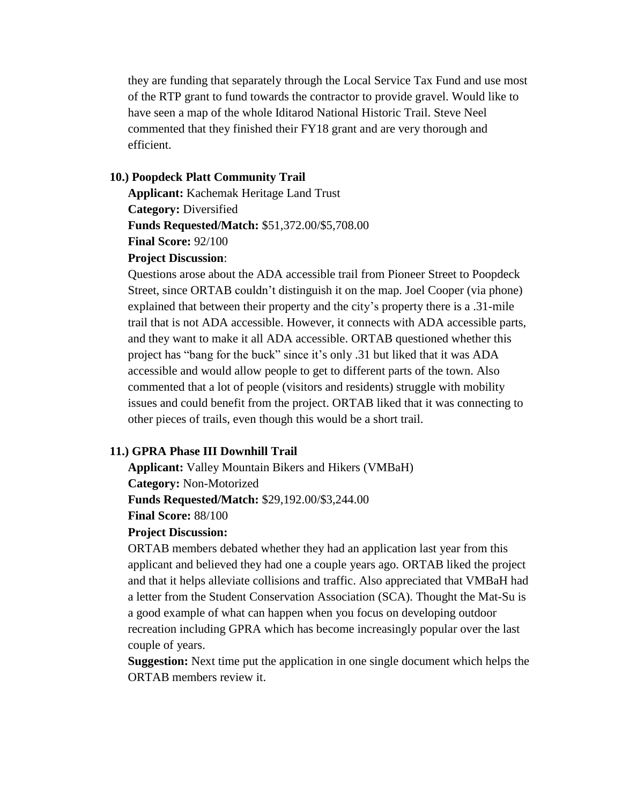they are funding that separately through the Local Service Tax Fund and use most of the RTP grant to fund towards the contractor to provide gravel. Would like to have seen a map of the whole Iditarod National Historic Trail. Steve Neel commented that they finished their FY18 grant and are very thorough and efficient.

#### **10.) Poopdeck Platt Community Trail**

**Applicant:** Kachemak Heritage Land Trust **Category:** Diversified **Funds Requested/Match:** \$51,372.00/\$5,708.00 **Final Score:** 92/100

#### **Project Discussion**:

Questions arose about the ADA accessible trail from Pioneer Street to Poopdeck Street, since ORTAB couldn't distinguish it on the map. Joel Cooper (via phone) explained that between their property and the city's property there is a .31-mile trail that is not ADA accessible. However, it connects with ADA accessible parts, and they want to make it all ADA accessible. ORTAB questioned whether this project has "bang for the buck" since it's only .31 but liked that it was ADA accessible and would allow people to get to different parts of the town. Also commented that a lot of people (visitors and residents) struggle with mobility issues and could benefit from the project. ORTAB liked that it was connecting to other pieces of trails, even though this would be a short trail.

#### **11.) GPRA Phase III Downhill Trail**

**Applicant:** Valley Mountain Bikers and Hikers (VMBaH)

**Category:** Non-Motorized

**Funds Requested/Match:** \$29,192.00/\$3,244.00

# **Final Score:** 88/100

## **Project Discussion:**

ORTAB members debated whether they had an application last year from this applicant and believed they had one a couple years ago. ORTAB liked the project and that it helps alleviate collisions and traffic. Also appreciated that VMBaH had a letter from the Student Conservation Association (SCA). Thought the Mat-Su is a good example of what can happen when you focus on developing outdoor recreation including GPRA which has become increasingly popular over the last couple of years.

**Suggestion:** Next time put the application in one single document which helps the ORTAB members review it.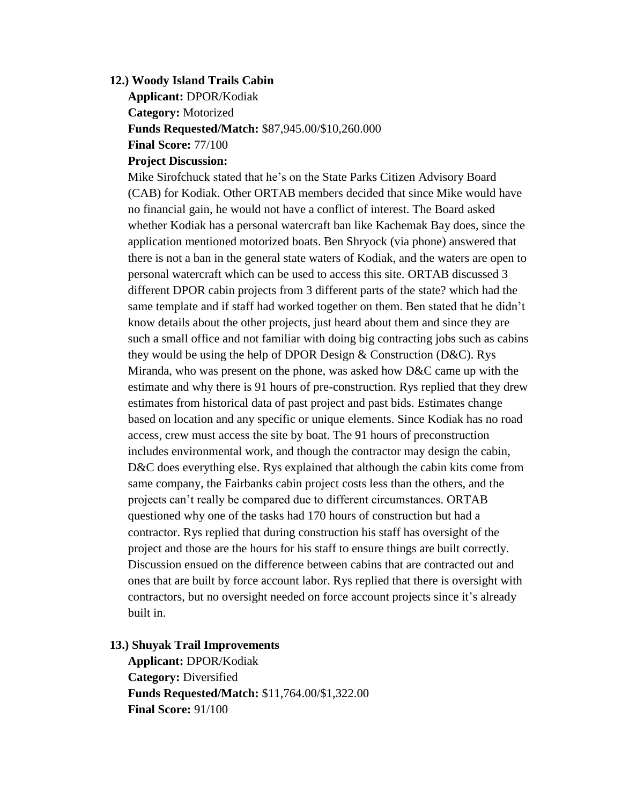## **12.) Woody Island Trails Cabin**

**Applicant:** DPOR/Kodiak **Category:** Motorized **Funds Requested/Match:** \$87,945.00/\$10,260.000 **Final Score:** 77/100

## **Project Discussion:**

Mike Sirofchuck stated that he's on the State Parks Citizen Advisory Board (CAB) for Kodiak. Other ORTAB members decided that since Mike would have no financial gain, he would not have a conflict of interest. The Board asked whether Kodiak has a personal watercraft ban like Kachemak Bay does, since the application mentioned motorized boats. Ben Shryock (via phone) answered that there is not a ban in the general state waters of Kodiak, and the waters are open to personal watercraft which can be used to access this site. ORTAB discussed 3 different DPOR cabin projects from 3 different parts of the state? which had the same template and if staff had worked together on them. Ben stated that he didn't know details about the other projects, just heard about them and since they are such a small office and not familiar with doing big contracting jobs such as cabins they would be using the help of DPOR Design & Construction (D&C). Rys Miranda, who was present on the phone, was asked how D&C came up with the estimate and why there is 91 hours of pre-construction. Rys replied that they drew estimates from historical data of past project and past bids. Estimates change based on location and any specific or unique elements. Since Kodiak has no road access, crew must access the site by boat. The 91 hours of preconstruction includes environmental work, and though the contractor may design the cabin, D&C does everything else. Rys explained that although the cabin kits come from same company, the Fairbanks cabin project costs less than the others, and the projects can't really be compared due to different circumstances. ORTAB questioned why one of the tasks had 170 hours of construction but had a contractor. Rys replied that during construction his staff has oversight of the project and those are the hours for his staff to ensure things are built correctly. Discussion ensued on the difference between cabins that are contracted out and ones that are built by force account labor. Rys replied that there is oversight with contractors, but no oversight needed on force account projects since it's already built in.

#### **13.) Shuyak Trail Improvements**

**Applicant:** DPOR/Kodiak **Category:** Diversified **Funds Requested/Match:** \$11,764.00/\$1,322.00 **Final Score:** 91/100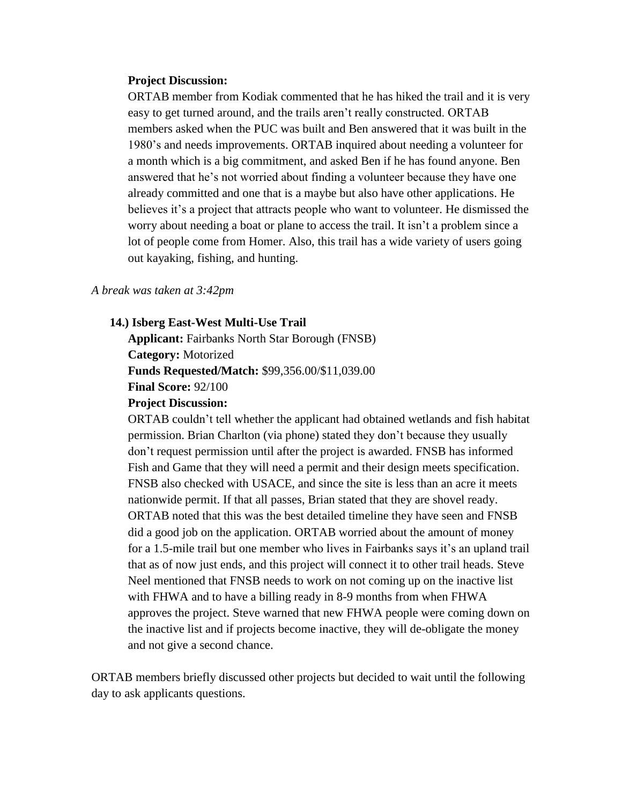#### **Project Discussion:**

ORTAB member from Kodiak commented that he has hiked the trail and it is very easy to get turned around, and the trails aren't really constructed. ORTAB members asked when the PUC was built and Ben answered that it was built in the 1980's and needs improvements. ORTAB inquired about needing a volunteer for a month which is a big commitment, and asked Ben if he has found anyone. Ben answered that he's not worried about finding a volunteer because they have one already committed and one that is a maybe but also have other applications. He believes it's a project that attracts people who want to volunteer. He dismissed the worry about needing a boat or plane to access the trail. It isn't a problem since a lot of people come from Homer. Also, this trail has a wide variety of users going out kayaking, fishing, and hunting.

#### *A break was taken at 3:42pm*

**14.) Isberg East-West Multi-Use Trail**

**Applicant:** Fairbanks North Star Borough (FNSB) **Category:** Motorized **Funds Requested/Match:** \$99,356.00/\$11,039.00 **Final Score:** 92/100 **Project Discussion:**

ORTAB couldn't tell whether the applicant had obtained wetlands and fish habitat permission. Brian Charlton (via phone) stated they don't because they usually don't request permission until after the project is awarded. FNSB has informed Fish and Game that they will need a permit and their design meets specification. FNSB also checked with USACE, and since the site is less than an acre it meets nationwide permit. If that all passes, Brian stated that they are shovel ready. ORTAB noted that this was the best detailed timeline they have seen and FNSB did a good job on the application. ORTAB worried about the amount of money for a 1.5-mile trail but one member who lives in Fairbanks says it's an upland trail that as of now just ends, and this project will connect it to other trail heads. Steve Neel mentioned that FNSB needs to work on not coming up on the inactive list with FHWA and to have a billing ready in 8-9 months from when FHWA approves the project. Steve warned that new FHWA people were coming down on the inactive list and if projects become inactive, they will de-obligate the money and not give a second chance.

ORTAB members briefly discussed other projects but decided to wait until the following day to ask applicants questions.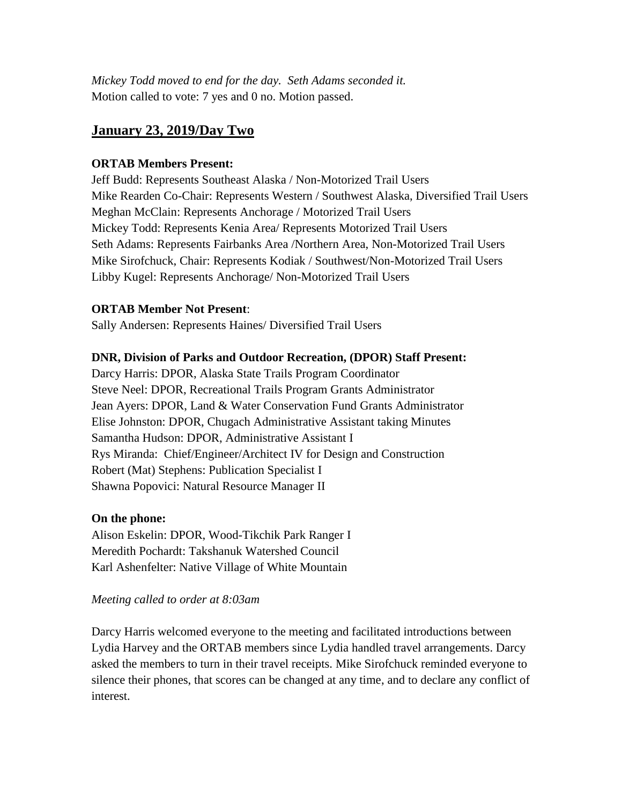*Mickey Todd moved to end for the day. Seth Adams seconded it.* Motion called to vote: 7 yes and 0 no. Motion passed.

# **January 23, 2019/Day Two**

## **ORTAB Members Present:**

Jeff Budd: Represents Southeast Alaska / Non-Motorized Trail Users Mike Rearden Co-Chair: Represents Western / Southwest Alaska, Diversified Trail Users Meghan McClain: Represents Anchorage / Motorized Trail Users Mickey Todd: Represents Kenia Area/ Represents Motorized Trail Users Seth Adams: Represents Fairbanks Area /Northern Area, Non-Motorized Trail Users Mike Sirofchuck, Chair: Represents Kodiak / Southwest/Non-Motorized Trail Users Libby Kugel: Represents Anchorage/ Non-Motorized Trail Users

## **ORTAB Member Not Present**:

Sally Andersen: Represents Haines/ Diversified Trail Users

## **DNR, Division of Parks and Outdoor Recreation, (DPOR) Staff Present:**

Darcy Harris: DPOR, Alaska State Trails Program Coordinator Steve Neel: DPOR, Recreational Trails Program Grants Administrator Jean Ayers: DPOR, Land & Water Conservation Fund Grants Administrator Elise Johnston: DPOR, Chugach Administrative Assistant taking Minutes Samantha Hudson: DPOR, Administrative Assistant I Rys Miranda: Chief/Engineer/Architect IV for Design and Construction Robert (Mat) Stephens: Publication Specialist I Shawna Popovici: Natural Resource Manager II

## **On the phone:**

Alison Eskelin: DPOR, Wood-Tikchik Park Ranger I Meredith Pochardt: Takshanuk Watershed Council Karl Ashenfelter: Native Village of White Mountain

## *Meeting called to order at 8:03am*

Darcy Harris welcomed everyone to the meeting and facilitated introductions between Lydia Harvey and the ORTAB members since Lydia handled travel arrangements. Darcy asked the members to turn in their travel receipts. Mike Sirofchuck reminded everyone to silence their phones, that scores can be changed at any time, and to declare any conflict of interest.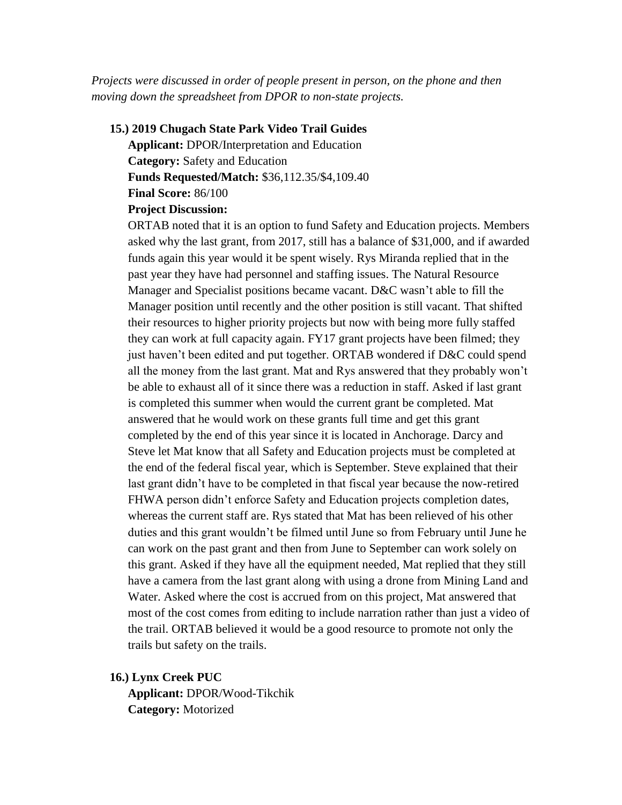*Projects were discussed in order of people present in person, on the phone and then moving down the spreadsheet from DPOR to non-state projects.*

#### **15.) 2019 Chugach State Park Video Trail Guides**

**Applicant:** DPOR/Interpretation and Education **Category:** Safety and Education **Funds Requested/Match:** \$36,112.35/\$4,109.40 **Final Score:** 86/100 **Project Discussion:**

ORTAB noted that it is an option to fund Safety and Education projects. Members asked why the last grant, from 2017, still has a balance of \$31,000, and if awarded funds again this year would it be spent wisely. Rys Miranda replied that in the past year they have had personnel and staffing issues. The Natural Resource Manager and Specialist positions became vacant. D&C wasn't able to fill the Manager position until recently and the other position is still vacant. That shifted their resources to higher priority projects but now with being more fully staffed they can work at full capacity again. FY17 grant projects have been filmed; they just haven't been edited and put together. ORTAB wondered if D&C could spend all the money from the last grant. Mat and Rys answered that they probably won't be able to exhaust all of it since there was a reduction in staff. Asked if last grant is completed this summer when would the current grant be completed. Mat answered that he would work on these grants full time and get this grant completed by the end of this year since it is located in Anchorage. Darcy and Steve let Mat know that all Safety and Education projects must be completed at the end of the federal fiscal year, which is September. Steve explained that their last grant didn't have to be completed in that fiscal year because the now-retired FHWA person didn't enforce Safety and Education projects completion dates, whereas the current staff are. Rys stated that Mat has been relieved of his other duties and this grant wouldn't be filmed until June so from February until June he can work on the past grant and then from June to September can work solely on this grant. Asked if they have all the equipment needed, Mat replied that they still have a camera from the last grant along with using a drone from Mining Land and Water. Asked where the cost is accrued from on this project, Mat answered that most of the cost comes from editing to include narration rather than just a video of the trail. ORTAB believed it would be a good resource to promote not only the trails but safety on the trails.

**16.) Lynx Creek PUC Applicant:** DPOR/Wood-Tikchik **Category:** Motorized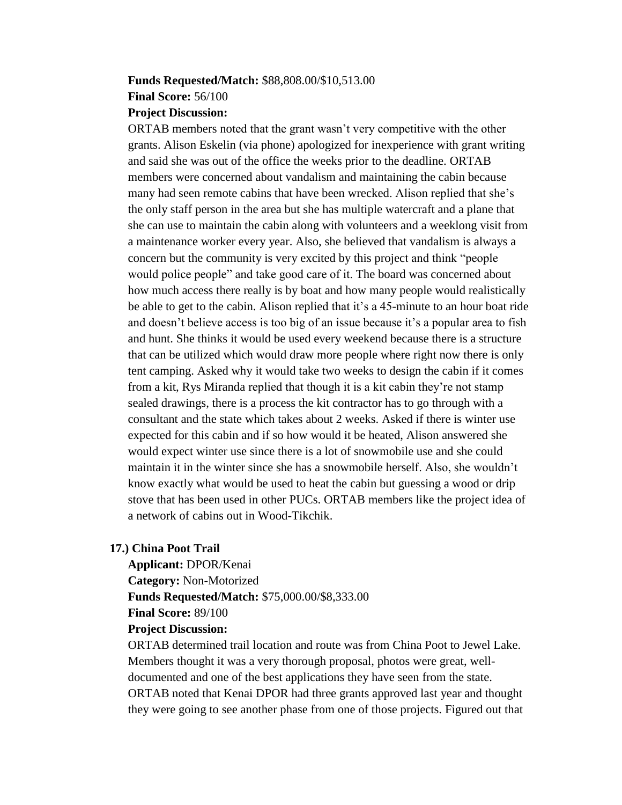# **Funds Requested/Match:** \$88,808.00/\$10,513.00 **Final Score:** 56/100

## **Project Discussion:**

ORTAB members noted that the grant wasn't very competitive with the other grants. Alison Eskelin (via phone) apologized for inexperience with grant writing and said she was out of the office the weeks prior to the deadline. ORTAB members were concerned about vandalism and maintaining the cabin because many had seen remote cabins that have been wrecked. Alison replied that she's the only staff person in the area but she has multiple watercraft and a plane that she can use to maintain the cabin along with volunteers and a weeklong visit from a maintenance worker every year. Also, she believed that vandalism is always a concern but the community is very excited by this project and think "people would police people" and take good care of it. The board was concerned about how much access there really is by boat and how many people would realistically be able to get to the cabin. Alison replied that it's a 45-minute to an hour boat ride and doesn't believe access is too big of an issue because it's a popular area to fish and hunt. She thinks it would be used every weekend because there is a structure that can be utilized which would draw more people where right now there is only tent camping. Asked why it would take two weeks to design the cabin if it comes from a kit, Rys Miranda replied that though it is a kit cabin they're not stamp sealed drawings, there is a process the kit contractor has to go through with a consultant and the state which takes about 2 weeks. Asked if there is winter use expected for this cabin and if so how would it be heated, Alison answered she would expect winter use since there is a lot of snowmobile use and she could maintain it in the winter since she has a snowmobile herself. Also, she wouldn't know exactly what would be used to heat the cabin but guessing a wood or drip stove that has been used in other PUCs. ORTAB members like the project idea of a network of cabins out in Wood-Tikchik.

## **17.) China Poot Trail**

**Applicant:** DPOR/Kenai **Category:** Non-Motorized **Funds Requested/Match:** \$75,000.00/\$8,333.00 **Final Score:** 89/100

## **Project Discussion:**  ORTAB determined trail location and route was from China Poot to Jewel Lake. Members thought it was a very thorough proposal, photos were great, welldocumented and one of the best applications they have seen from the state. ORTAB noted that Kenai DPOR had three grants approved last year and thought they were going to see another phase from one of those projects. Figured out that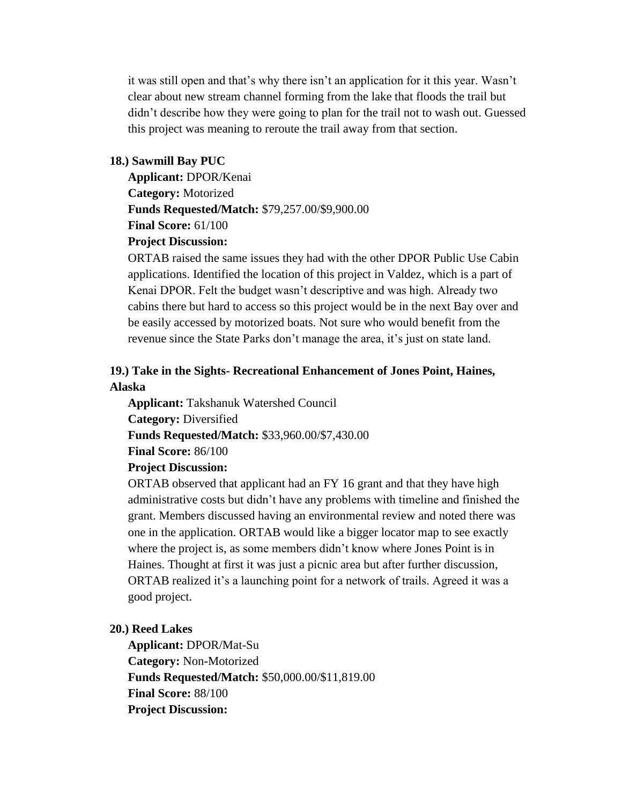it was still open and that's why there isn't an application for it this year. Wasn't clear about new stream channel forming from the lake that floods the trail but didn't describe how they were going to plan for the trail not to wash out. Guessed this project was meaning to reroute the trail away from that section.

#### **18.) Sawmill Bay PUC**

**Applicant:** DPOR/Kenai **Category:** Motorized **Funds Requested/Match:** \$79,257.00/\$9,900.00 **Final Score:** 61/100 **Project Discussion:** 

ORTAB raised the same issues they had with the other DPOR Public Use Cabin applications. Identified the location of this project in Valdez, which is a part of Kenai DPOR. Felt the budget wasn't descriptive and was high. Already two cabins there but hard to access so this project would be in the next Bay over and be easily accessed by motorized boats. Not sure who would benefit from the revenue since the State Parks don't manage the area, it's just on state land.

## **19.) Take in the Sights- Recreational Enhancement of Jones Point, Haines, Alaska**

**Applicant:** Takshanuk Watershed Council **Category:** Diversified **Funds Requested/Match:** \$33,960.00/\$7,430.00 **Final Score:** 86/100 **Project Discussion:**

ORTAB observed that applicant had an FY 16 grant and that they have high administrative costs but didn't have any problems with timeline and finished the grant. Members discussed having an environmental review and noted there was one in the application. ORTAB would like a bigger locator map to see exactly where the project is, as some members didn't know where Jones Point is in Haines. Thought at first it was just a picnic area but after further discussion, ORTAB realized it's a launching point for a network of trails. Agreed it was a good project.

## **20.) Reed Lakes**

**Applicant:** DPOR/Mat-Su **Category:** Non**-**Motorized **Funds Requested/Match:** \$50,000.00/\$11,819.00 **Final Score:** 88/100 **Project Discussion:**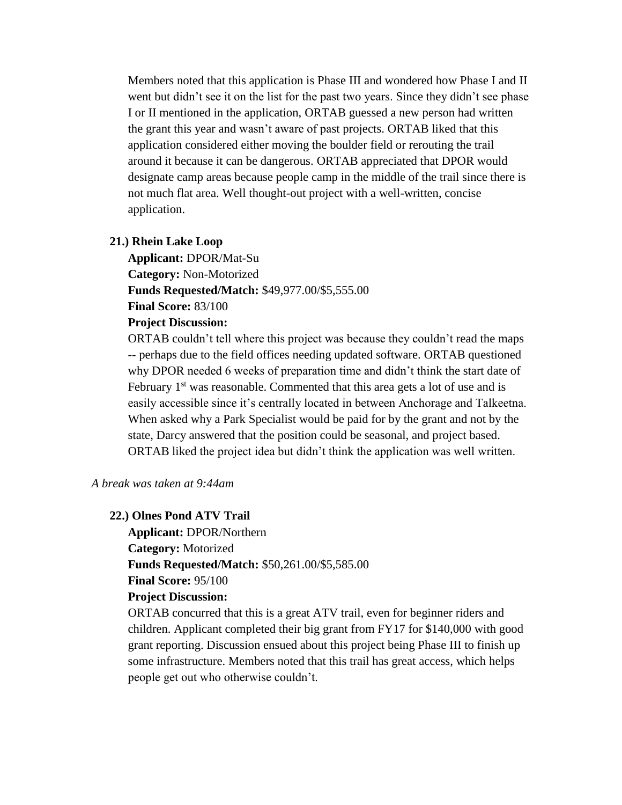Members noted that this application is Phase III and wondered how Phase I and II went but didn't see it on the list for the past two years. Since they didn't see phase I or II mentioned in the application, ORTAB guessed a new person had written the grant this year and wasn't aware of past projects. ORTAB liked that this application considered either moving the boulder field or rerouting the trail around it because it can be dangerous. ORTAB appreciated that DPOR would designate camp areas because people camp in the middle of the trail since there is not much flat area. Well thought-out project with a well-written, concise application.

## **21.) Rhein Lake Loop**

**Applicant:** DPOR/Mat-Su **Category:** Non-Motorized **Funds Requested/Match:** \$49,977.00/\$5,555.00 **Final Score:** 83/100

## **Project Discussion:**

ORTAB couldn't tell where this project was because they couldn't read the maps -- perhaps due to the field offices needing updated software. ORTAB questioned why DPOR needed 6 weeks of preparation time and didn't think the start date of February  $1<sup>st</sup>$  was reasonable. Commented that this area gets a lot of use and is easily accessible since it's centrally located in between Anchorage and Talkeetna. When asked why a Park Specialist would be paid for by the grant and not by the state, Darcy answered that the position could be seasonal, and project based. ORTAB liked the project idea but didn't think the application was well written.

## *A break was taken at 9:44am*

#### **22.) Olnes Pond ATV Trail**

**Applicant:** DPOR/Northern **Category:** Motorized **Funds Requested/Match:** \$50,261.00/\$5,585.00

**Final Score:** 95/100

## **Project Discussion:**

ORTAB concurred that this is a great ATV trail, even for beginner riders and children. Applicant completed their big grant from FY17 for \$140,000 with good grant reporting. Discussion ensued about this project being Phase III to finish up some infrastructure. Members noted that this trail has great access, which helps people get out who otherwise couldn't.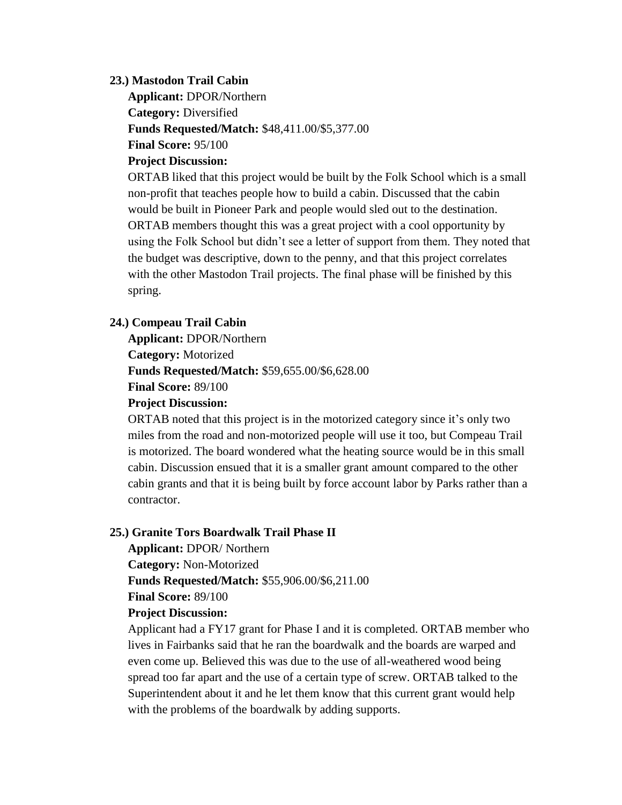#### **23.) Mastodon Trail Cabin**

**Applicant:** DPOR/Northern **Category:** Diversified **Funds Requested/Match:** \$48,411.00/\$5,377.00 **Final Score:** 95/100

## **Project Discussion:**

ORTAB liked that this project would be built by the Folk School which is a small non-profit that teaches people how to build a cabin. Discussed that the cabin would be built in Pioneer Park and people would sled out to the destination. ORTAB members thought this was a great project with a cool opportunity by using the Folk School but didn't see a letter of support from them. They noted that the budget was descriptive, down to the penny, and that this project correlates with the other Mastodon Trail projects. The final phase will be finished by this spring.

#### **24.) Compeau Trail Cabin**

**Applicant:** DPOR/Northern **Category:** Motorized **Funds Requested/Match:** \$59,655.00/\$6,628.00 **Final Score:** 89/100 **Project Discussion:**

ORTAB noted that this project is in the motorized category since it's only two miles from the road and non-motorized people will use it too, but Compeau Trail is motorized. The board wondered what the heating source would be in this small cabin. Discussion ensued that it is a smaller grant amount compared to the other cabin grants and that it is being built by force account labor by Parks rather than a contractor.

#### **25.) Granite Tors Boardwalk Trail Phase II**

**Applicant:** DPOR/ Northern **Category:** Non-Motorized **Funds Requested/Match:** \$55,906.00/\$6,211.00 **Final Score:** 89/100 **Project Discussion:**

Applicant had a FY17 grant for Phase I and it is completed. ORTAB member who lives in Fairbanks said that he ran the boardwalk and the boards are warped and even come up. Believed this was due to the use of all-weathered wood being spread too far apart and the use of a certain type of screw. ORTAB talked to the Superintendent about it and he let them know that this current grant would help with the problems of the boardwalk by adding supports.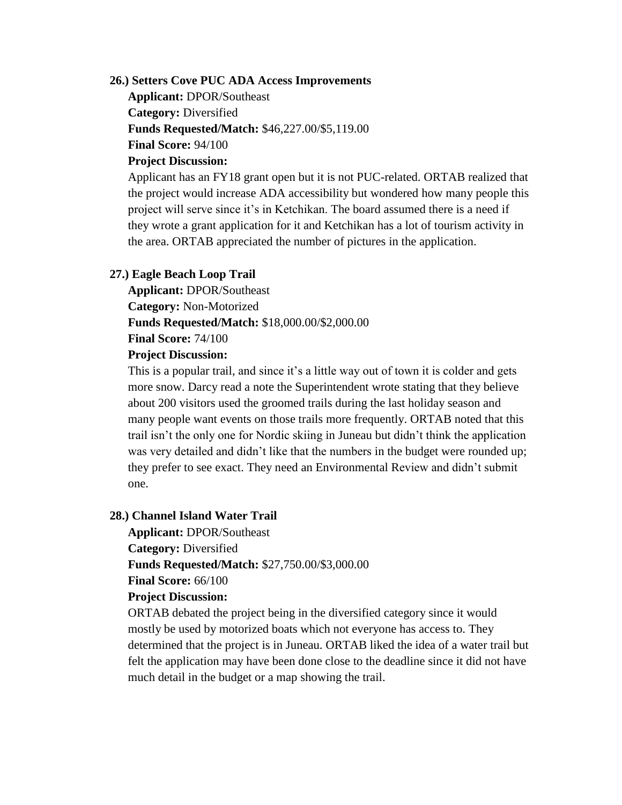## **26.) Setters Cove PUC ADA Access Improvements**

**Applicant:** DPOR/Southeast **Category:** Diversified **Funds Requested/Match:** \$46,227.00/\$5,119.00 **Final Score:** 94/100

## **Project Discussion:**

Applicant has an FY18 grant open but it is not PUC-related. ORTAB realized that the project would increase ADA accessibility but wondered how many people this project will serve since it's in Ketchikan. The board assumed there is a need if they wrote a grant application for it and Ketchikan has a lot of tourism activity in the area. ORTAB appreciated the number of pictures in the application.

## **27.) Eagle Beach Loop Trail**

**Applicant:** DPOR/Southeast **Category:** Non-Motorized **Funds Requested/Match:** \$18,000.00/\$2,000.00 **Final Score:** 74/100

## **Project Discussion:**

This is a popular trail, and since it's a little way out of town it is colder and gets more snow. Darcy read a note the Superintendent wrote stating that they believe about 200 visitors used the groomed trails during the last holiday season and many people want events on those trails more frequently. ORTAB noted that this trail isn't the only one for Nordic skiing in Juneau but didn't think the application was very detailed and didn't like that the numbers in the budget were rounded up; they prefer to see exact. They need an Environmental Review and didn't submit one.

#### **28.) Channel Island Water Trail**

**Applicant:** DPOR/Southeast **Category:** Diversified **Funds Requested/Match:** \$27,750.00/\$3,000.00 **Final Score:** 66/100

## **Project Discussion:**

ORTAB debated the project being in the diversified category since it would mostly be used by motorized boats which not everyone has access to. They determined that the project is in Juneau. ORTAB liked the idea of a water trail but felt the application may have been done close to the deadline since it did not have much detail in the budget or a map showing the trail.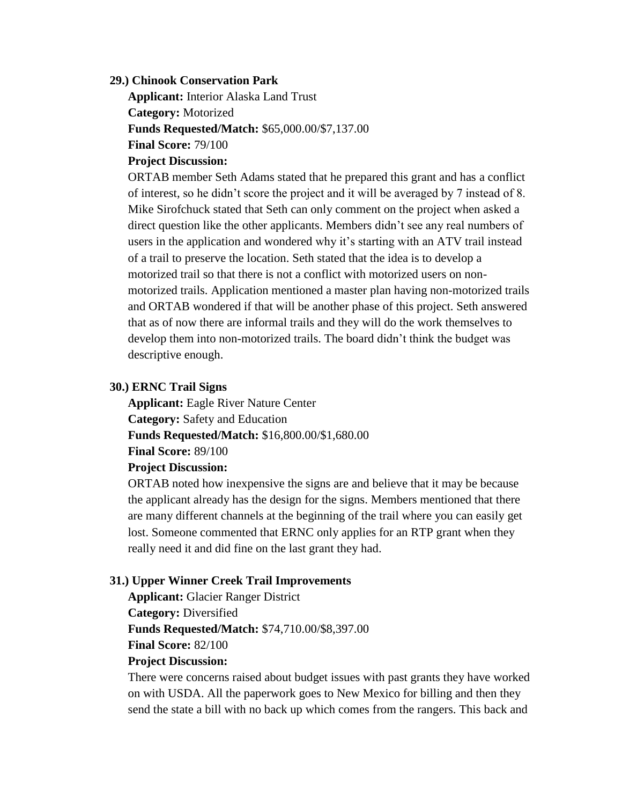#### **29.) Chinook Conservation Park**

**Applicant:** Interior Alaska Land Trust **Category:** Motorized **Funds Requested/Match:** \$65,000.00/\$7,137.00 **Final Score:** 79/100

## **Project Discussion:**

ORTAB member Seth Adams stated that he prepared this grant and has a conflict of interest, so he didn't score the project and it will be averaged by 7 instead of 8. Mike Sirofchuck stated that Seth can only comment on the project when asked a direct question like the other applicants. Members didn't see any real numbers of users in the application and wondered why it's starting with an ATV trail instead of a trail to preserve the location. Seth stated that the idea is to develop a motorized trail so that there is not a conflict with motorized users on nonmotorized trails. Application mentioned a master plan having non-motorized trails and ORTAB wondered if that will be another phase of this project. Seth answered that as of now there are informal trails and they will do the work themselves to develop them into non-motorized trails. The board didn't think the budget was descriptive enough.

#### **30.) ERNC Trail Signs**

**Applicant:** Eagle River Nature Center **Category:** Safety and Education **Funds Requested/Match:** \$16,800.00/\$1,680.00 **Final Score:** 89/100

#### **Project Discussion:**

ORTAB noted how inexpensive the signs are and believe that it may be because the applicant already has the design for the signs. Members mentioned that there are many different channels at the beginning of the trail where you can easily get lost. Someone commented that ERNC only applies for an RTP grant when they really need it and did fine on the last grant they had.

## **31.) Upper Winner Creek Trail Improvements**

**Applicant:** Glacier Ranger District **Category:** Diversified **Funds Requested/Match:** \$74,710.00/\$8,397.00 **Final Score:** 82/100

## **Project Discussion:**

There were concerns raised about budget issues with past grants they have worked on with USDA. All the paperwork goes to New Mexico for billing and then they send the state a bill with no back up which comes from the rangers. This back and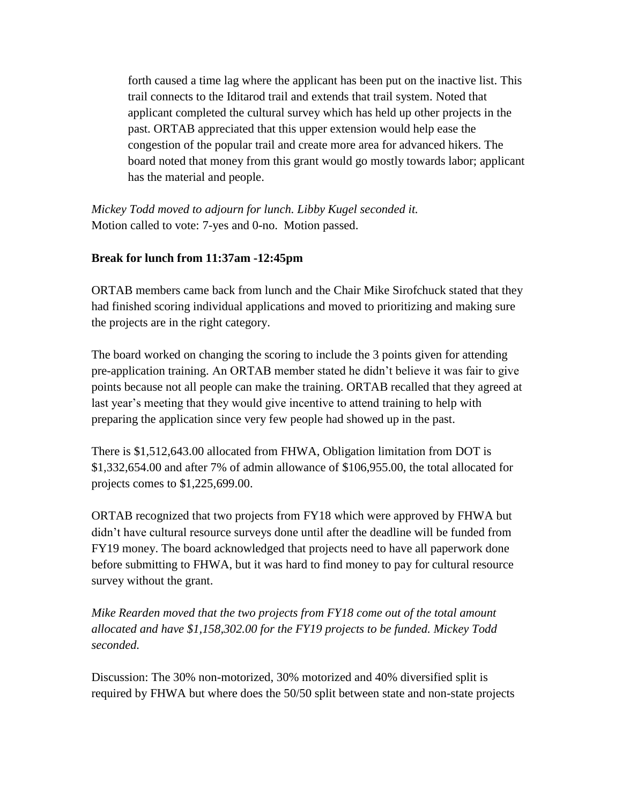forth caused a time lag where the applicant has been put on the inactive list. This trail connects to the Iditarod trail and extends that trail system. Noted that applicant completed the cultural survey which has held up other projects in the past. ORTAB appreciated that this upper extension would help ease the congestion of the popular trail and create more area for advanced hikers. The board noted that money from this grant would go mostly towards labor; applicant has the material and people.

*Mickey Todd moved to adjourn for lunch. Libby Kugel seconded it.* Motion called to vote: 7-yes and 0-no. Motion passed.

## **Break for lunch from 11:37am -12:45pm**

ORTAB members came back from lunch and the Chair Mike Sirofchuck stated that they had finished scoring individual applications and moved to prioritizing and making sure the projects are in the right category.

The board worked on changing the scoring to include the 3 points given for attending pre-application training. An ORTAB member stated he didn't believe it was fair to give points because not all people can make the training. ORTAB recalled that they agreed at last year's meeting that they would give incentive to attend training to help with preparing the application since very few people had showed up in the past.

There is \$1,512,643.00 allocated from FHWA, Obligation limitation from DOT is \$1,332,654.00 and after 7% of admin allowance of \$106,955.00, the total allocated for projects comes to \$1,225,699.00.

ORTAB recognized that two projects from FY18 which were approved by FHWA but didn't have cultural resource surveys done until after the deadline will be funded from FY19 money. The board acknowledged that projects need to have all paperwork done before submitting to FHWA, but it was hard to find money to pay for cultural resource survey without the grant.

*Mike Rearden moved that the two projects from FY18 come out of the total amount allocated and have \$1,158,302.00 for the FY19 projects to be funded. Mickey Todd seconded.*

Discussion: The 30% non-motorized, 30% motorized and 40% diversified split is required by FHWA but where does the 50/50 split between state and non-state projects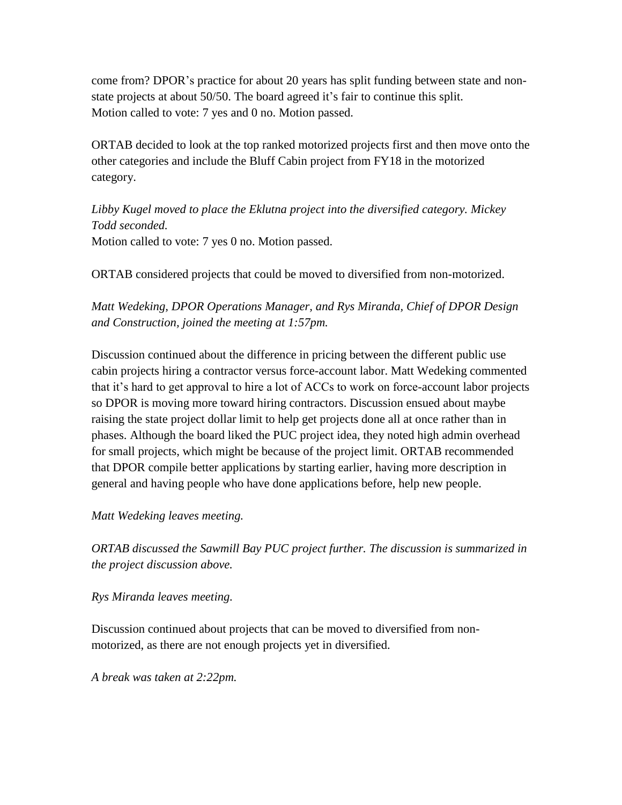come from? DPOR's practice for about 20 years has split funding between state and nonstate projects at about 50/50. The board agreed it's fair to continue this split. Motion called to vote: 7 yes and 0 no. Motion passed.

ORTAB decided to look at the top ranked motorized projects first and then move onto the other categories and include the Bluff Cabin project from FY18 in the motorized category.

*Libby Kugel moved to place the Eklutna project into the diversified category. Mickey Todd seconded.* Motion called to vote: 7 yes 0 no. Motion passed.

ORTAB considered projects that could be moved to diversified from non-motorized.

*Matt Wedeking, DPOR Operations Manager, and Rys Miranda, Chief of DPOR Design and Construction, joined the meeting at 1:57pm.*

Discussion continued about the difference in pricing between the different public use cabin projects hiring a contractor versus force-account labor. Matt Wedeking commented that it's hard to get approval to hire a lot of ACCs to work on force-account labor projects so DPOR is moving more toward hiring contractors. Discussion ensued about maybe raising the state project dollar limit to help get projects done all at once rather than in phases. Although the board liked the PUC project idea, they noted high admin overhead for small projects, which might be because of the project limit. ORTAB recommended that DPOR compile better applications by starting earlier, having more description in general and having people who have done applications before, help new people.

*Matt Wedeking leaves meeting.*

*ORTAB discussed the Sawmill Bay PUC project further. The discussion is summarized in the project discussion above.*

*Rys Miranda leaves meeting.*

Discussion continued about projects that can be moved to diversified from nonmotorized, as there are not enough projects yet in diversified.

*A break was taken at 2:22pm.*